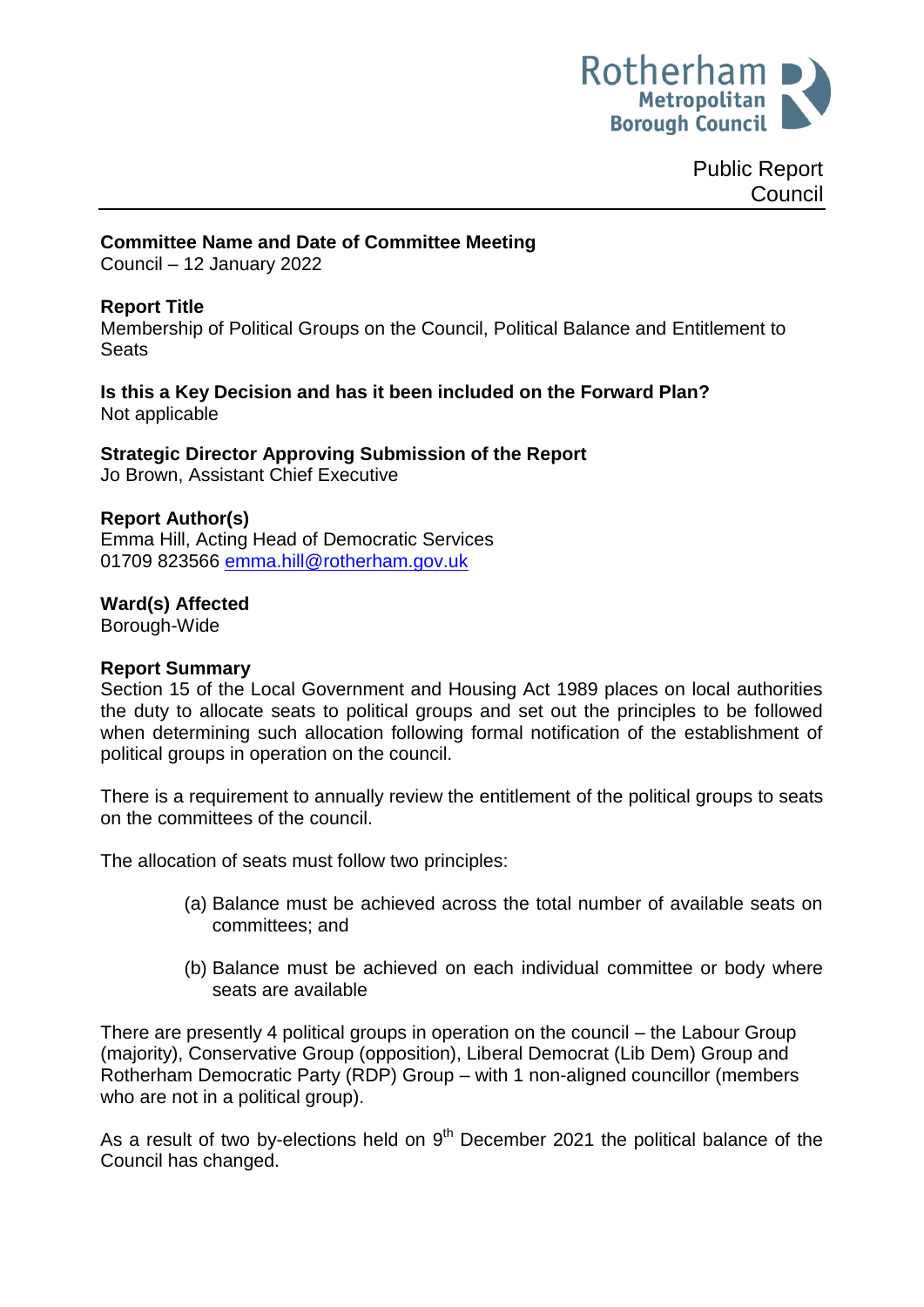

Public Report **Council** 

#### **Committee Name and Date of Committee Meeting**

Council – 12 January 2022

### **Report Title**

Membership of Political Groups on the Council, Political Balance and Entitlement to **Seats** 

**Is this a Key Decision and has it been included on the Forward Plan?** Not applicable

**Strategic Director Approving Submission of the Report** Jo Brown, Assistant Chief Executive

#### **Report Author(s)**

Emma Hill, Acting Head of Democratic Services 01709 823566 [emma.hill@rotherham.gov.uk](mailto:emma.hill@rotherham.gov.uk)

#### **Ward(s) Affected**

Borough-Wide

#### **Report Summary**

Section 15 of the Local Government and Housing Act 1989 places on local authorities the duty to allocate seats to political groups and set out the principles to be followed when determining such allocation following formal notification of the establishment of political groups in operation on the council.

There is a requirement to annually review the entitlement of the political groups to seats on the committees of the council.

The allocation of seats must follow two principles:

- (a) Balance must be achieved across the total number of available seats on committees; and
- (b) Balance must be achieved on each individual committee or body where seats are available

There are presently 4 political groups in operation on the council – the Labour Group (majority), Conservative Group (opposition), Liberal Democrat (Lib Dem) Group and Rotherham Democratic Party (RDP) Group – with 1 non-aligned councillor (members who are not in a political group).

As a result of two by-elections held on  $9<sup>th</sup>$  December 2021 the political balance of the Council has changed.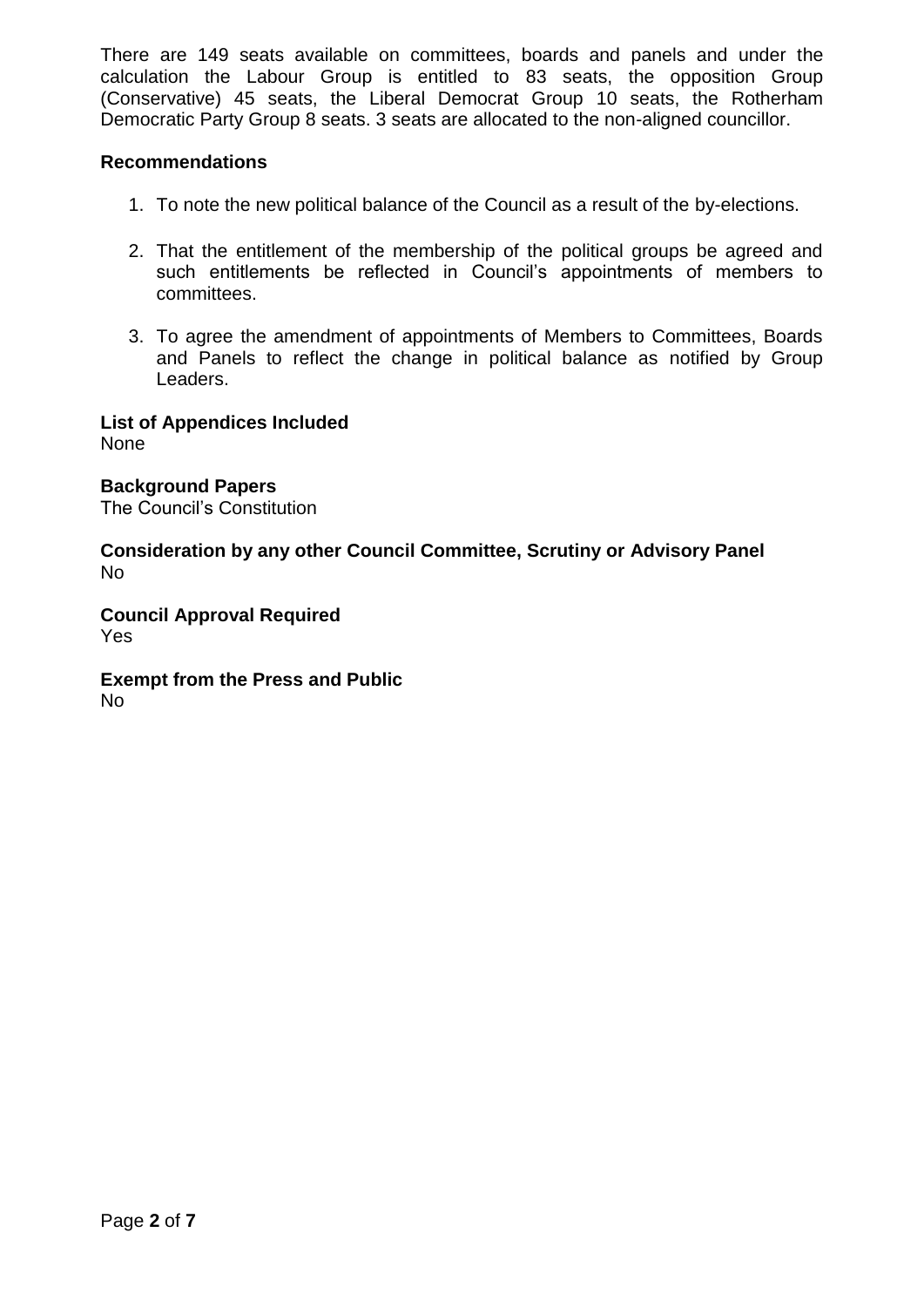There are 149 seats available on committees, boards and panels and under the calculation the Labour Group is entitled to 83 seats, the opposition Group (Conservative) 45 seats, the Liberal Democrat Group 10 seats, the Rotherham Democratic Party Group 8 seats. 3 seats are allocated to the non-aligned councillor.

# **Recommendations**

- 1. To note the new political balance of the Council as a result of the by-elections.
- 2. That the entitlement of the membership of the political groups be agreed and such entitlements be reflected in Council's appointments of members to committees.
- 3. To agree the amendment of appointments of Members to Committees, Boards and Panels to reflect the change in political balance as notified by Group Leaders.

**List of Appendices Included**

None

**Background Papers** The Council's Constitution

**Consideration by any other Council Committee, Scrutiny or Advisory Panel** No

**Council Approval Required** Yes

**Exempt from the Press and Public** No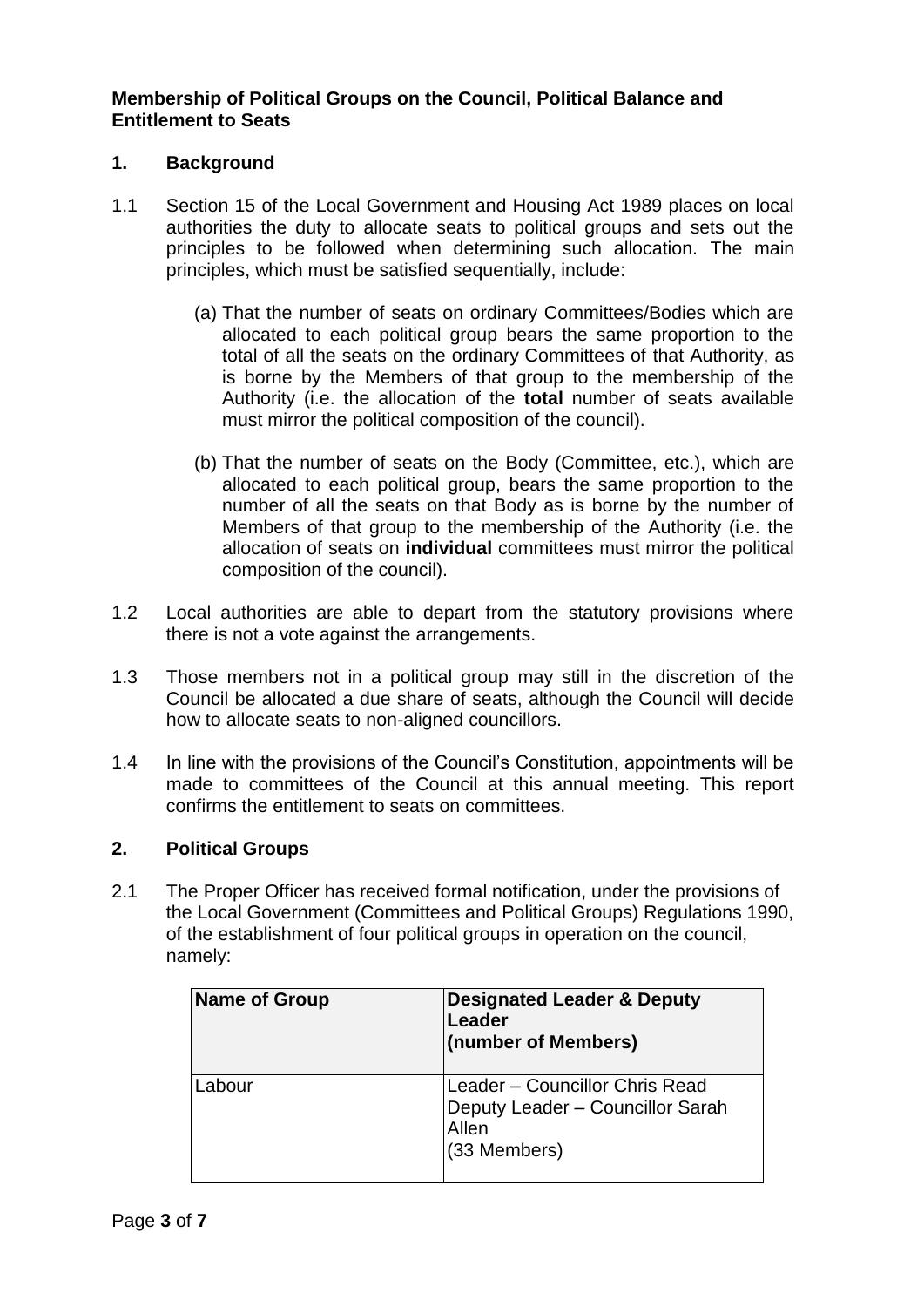# **Membership of Political Groups on the Council, Political Balance and Entitlement to Seats**

# **1. Background**

- 1.1 Section 15 of the Local Government and Housing Act 1989 places on local authorities the duty to allocate seats to political groups and sets out the principles to be followed when determining such allocation. The main principles, which must be satisfied sequentially, include:
	- (a) That the number of seats on ordinary Committees/Bodies which are allocated to each political group bears the same proportion to the total of all the seats on the ordinary Committees of that Authority, as is borne by the Members of that group to the membership of the Authority (i.e. the allocation of the **total** number of seats available must mirror the political composition of the council).
	- (b) That the number of seats on the Body (Committee, etc.), which are allocated to each political group, bears the same proportion to the number of all the seats on that Body as is borne by the number of Members of that group to the membership of the Authority (i.e. the allocation of seats on **individual** committees must mirror the political composition of the council).
- 1.2 Local authorities are able to depart from the statutory provisions where there is not a vote against the arrangements.
- 1.3 Those members not in a political group may still in the discretion of the Council be allocated a due share of seats, although the Council will decide how to allocate seats to non-aligned councillors.
- 1.4 In line with the provisions of the Council's Constitution, appointments will be made to committees of the Council at this annual meeting. This report confirms the entitlement to seats on committees.

# **2. Political Groups**

2.1 The Proper Officer has received formal notification, under the provisions of the Local Government (Committees and Political Groups) Regulations 1990, of the establishment of four political groups in operation on the council, namely:

| <b>Name of Group</b> | <b>Designated Leader &amp; Deputy</b><br>Leader<br>(number of Members)                      |
|----------------------|---------------------------------------------------------------------------------------------|
| Labour               | Leader - Councillor Chris Read<br>Deputy Leader - Councillor Sarah<br>Allen<br>(33 Members) |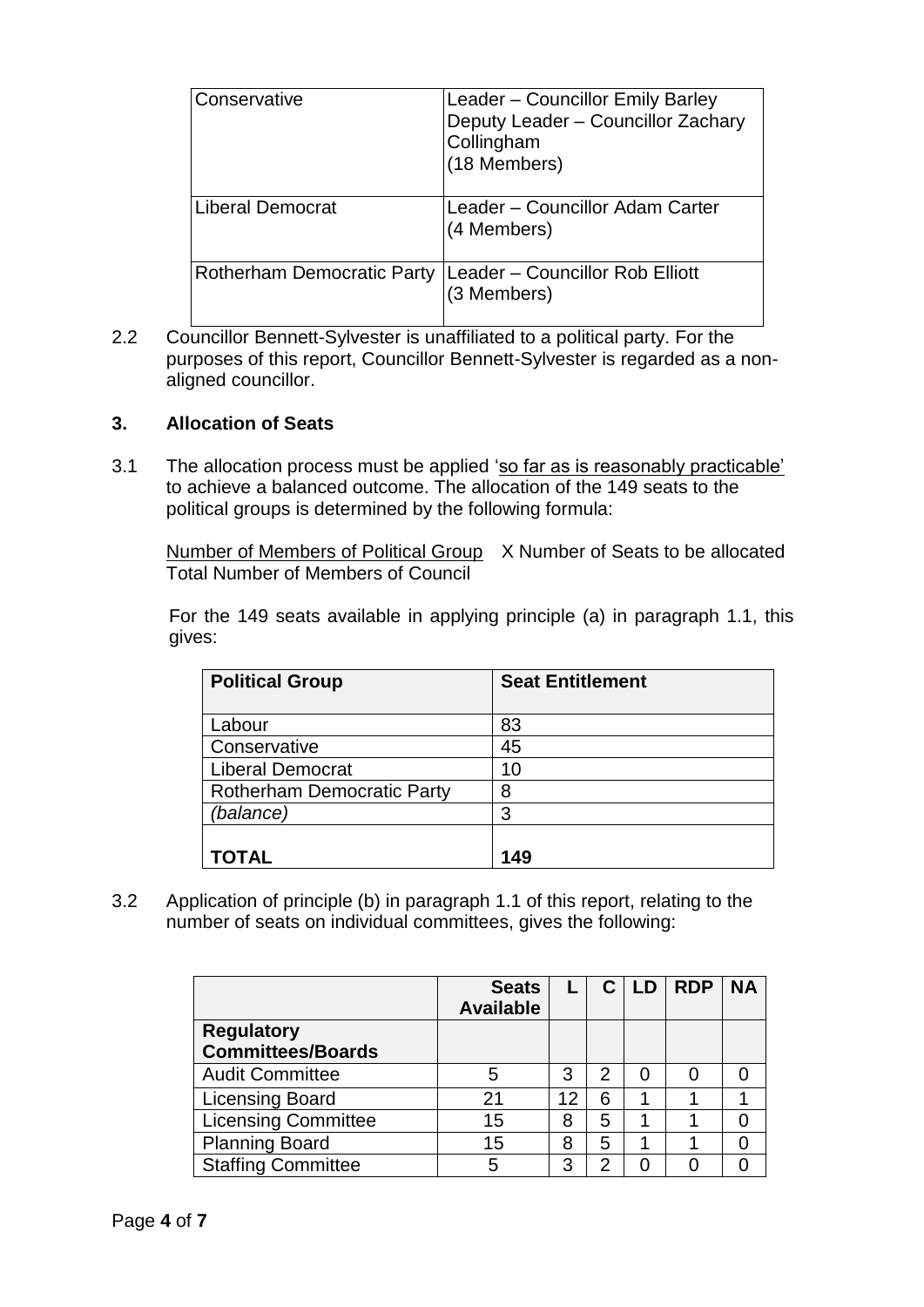| Conservative                      | Leader - Councillor Emily Barley<br>Deputy Leader - Councillor Zachary<br>Collingham<br>(18 Members) |
|-----------------------------------|------------------------------------------------------------------------------------------------------|
| Liberal Democrat                  | Leader - Councillor Adam Carter<br>(4 Members)                                                       |
| <b>Rotherham Democratic Party</b> | Leader - Councillor Rob Elliott<br>(3 Members)                                                       |

2.2 Councillor Bennett-Sylvester is unaffiliated to a political party. For the purposes of this report, Councillor Bennett-Sylvester is regarded as a nonaligned councillor.

## **3. Allocation of Seats**

3.1 The allocation process must be applied 'so far as is reasonably practicable' to achieve a balanced outcome. The allocation of the 149 seats to the political groups is determined by the following formula:

Number of Members of Political Group X Number of Seats to be allocated Total Number of Members of Council

For the 149 seats available in applying principle (a) in paragraph 1.1, this gives:

| <b>Political Group</b>            | <b>Seat Entitlement</b> |
|-----------------------------------|-------------------------|
| Labour                            | 83                      |
| Conservative                      | 45                      |
| <b>Liberal Democrat</b>           | 10                      |
| <b>Rotherham Democratic Party</b> | 8                       |
| (balance)                         | 3                       |
|                                   |                         |
| TOTAL                             | 149                     |

3.2 Application of principle (b) in paragraph 1.1 of this report, relating to the number of seats on individual committees, gives the following:

|                                               | <b>Seats</b><br><b>Available</b> |    |   | <b>LD</b> | <b>RDP</b> | <b>NA</b> |
|-----------------------------------------------|----------------------------------|----|---|-----------|------------|-----------|
| <b>Regulatory</b><br><b>Committees/Boards</b> |                                  |    |   |           |            |           |
| <b>Audit Committee</b>                        | 5                                | 3  | 2 |           |            |           |
| <b>Licensing Board</b>                        | 21                               | 12 | 6 |           |            |           |
| <b>Licensing Committee</b>                    | 15                               | 8  | 5 |           |            |           |
| <b>Planning Board</b>                         | 15                               | 8  | 5 |           |            |           |
| <b>Staffing Committee</b>                     | 5                                | າ  | 2 |           |            |           |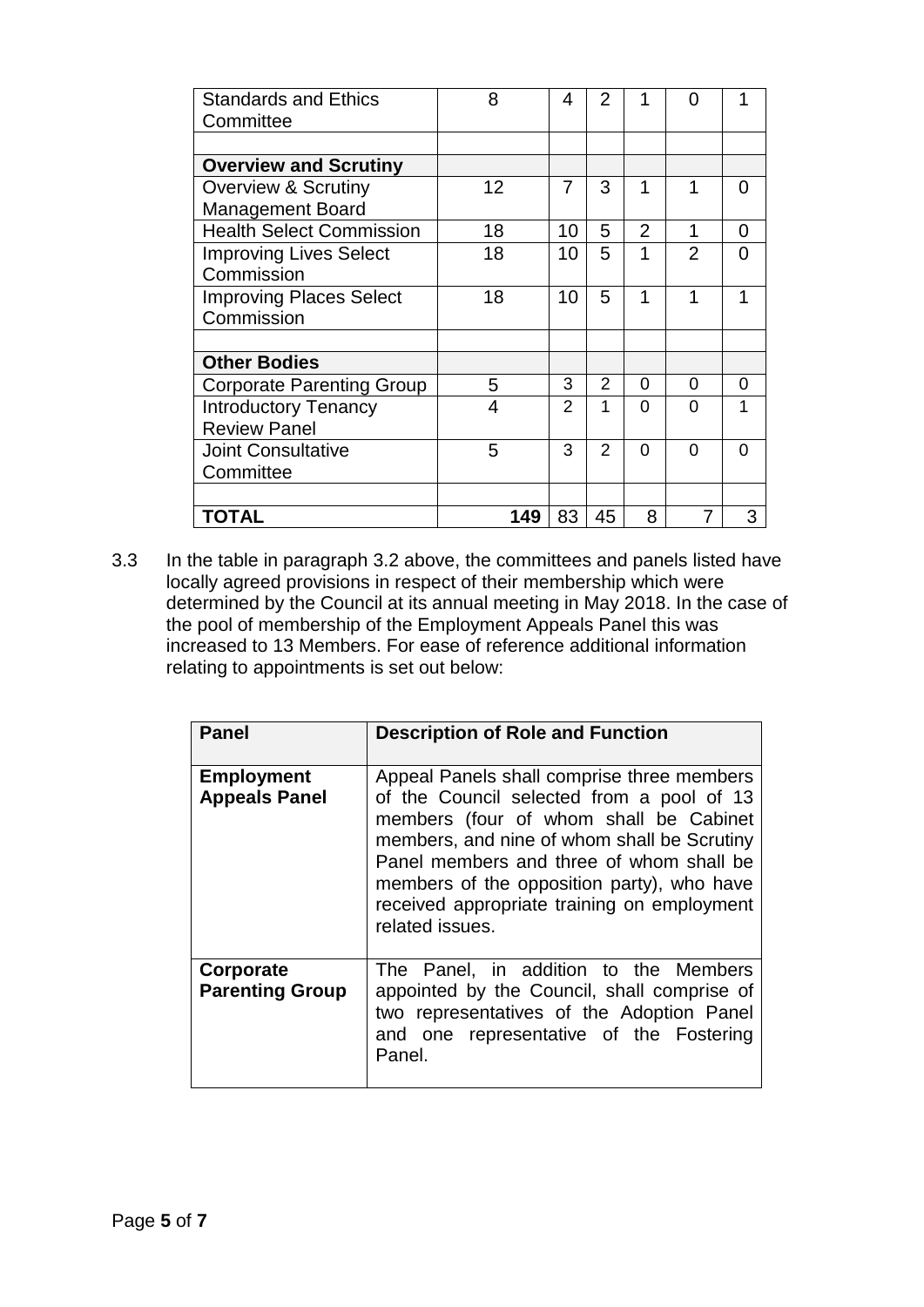| <b>Standards and Ethics</b><br>Committee | 8   | 4              | 2             |                | ი              |   |
|------------------------------------------|-----|----------------|---------------|----------------|----------------|---|
|                                          |     |                |               |                |                |   |
| <b>Overview and Scrutiny</b>             |     |                |               |                |                |   |
| <b>Overview &amp; Scrutiny</b>           | 12  | $\overline{7}$ | 3             | 1              | 1              | O |
| <b>Management Board</b>                  |     |                |               |                |                |   |
| <b>Health Select Commission</b>          | 18  | 10             | 5             | $\overline{2}$ | 1              | 0 |
| <b>Improving Lives Select</b>            | 18  | 10             | 5             | 1              | $\mathfrak{p}$ | 0 |
| Commission                               |     |                |               |                |                |   |
| <b>Improving Places Select</b>           | 18  | 10             | 5             | 1              | 1              | 1 |
| Commission                               |     |                |               |                |                |   |
|                                          |     |                |               |                |                |   |
| <b>Other Bodies</b>                      |     |                |               |                |                |   |
| <b>Corporate Parenting Group</b>         | 5   | 3              | 2             | 0              | 0              | 0 |
| <b>Introductory Tenancy</b>              | 4   | 2              | 1             | $\Omega$       | O              | 1 |
| <b>Review Panel</b>                      |     |                |               |                |                |   |
| <b>Joint Consultative</b>                | 5   | 3              | $\mathcal{P}$ | 0              | 0              | 0 |
| Committee                                |     |                |               |                |                |   |
|                                          |     |                |               |                |                |   |
| TOTAL                                    | 149 | 83             | 45            | 8              |                | 3 |

3.3 In the table in paragraph 3.2 above, the committees and panels listed have locally agreed provisions in respect of their membership which were determined by the Council at its annual meeting in May 2018. In the case of the pool of membership of the Employment Appeals Panel this was increased to 13 Members. For ease of reference additional information relating to appointments is set out below:

| <b>Panel</b>                              | <b>Description of Role and Function</b>                                                                                                                                                                                                                                                                                                      |
|-------------------------------------------|----------------------------------------------------------------------------------------------------------------------------------------------------------------------------------------------------------------------------------------------------------------------------------------------------------------------------------------------|
| <b>Employment</b><br><b>Appeals Panel</b> | Appeal Panels shall comprise three members<br>of the Council selected from a pool of 13<br>members (four of whom shall be Cabinet<br>members, and nine of whom shall be Scrutiny<br>Panel members and three of whom shall be<br>members of the opposition party), who have<br>received appropriate training on employment<br>related issues. |
| Corporate<br><b>Parenting Group</b>       | The Panel, in addition to the Members<br>appointed by the Council, shall comprise of<br>two representatives of the Adoption Panel<br>and one representative of the Fostering<br>Panel.                                                                                                                                                       |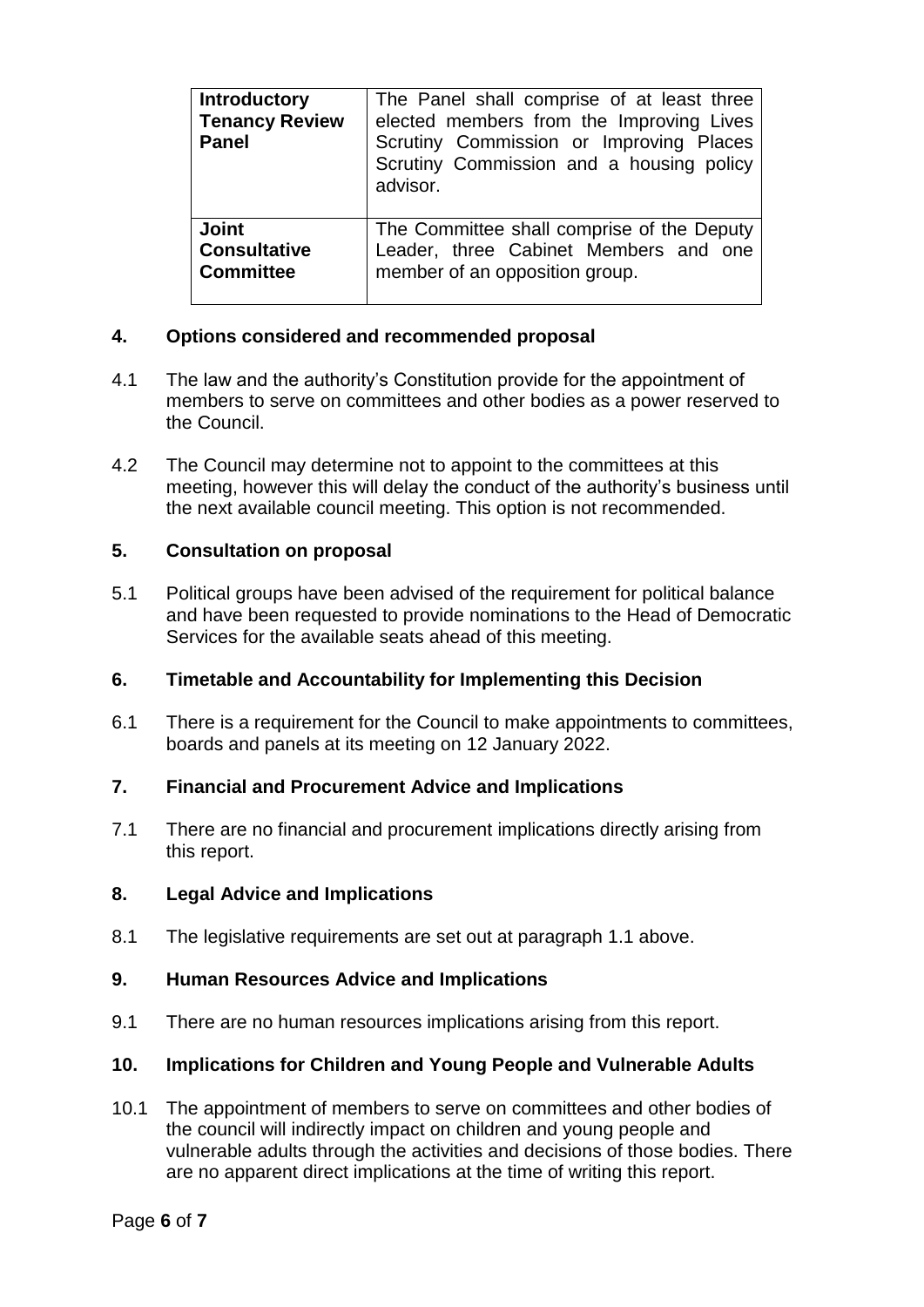| <b>Introductory</b><br><b>Tenancy Review</b><br><b>Panel</b> | The Panel shall comprise of at least three<br>elected members from the Improving Lives<br>Scrutiny Commission or Improving Places<br>Scrutiny Commission and a housing policy<br>advisor. |
|--------------------------------------------------------------|-------------------------------------------------------------------------------------------------------------------------------------------------------------------------------------------|
| <b>Joint</b>                                                 | The Committee shall comprise of the Deputy                                                                                                                                                |
| <b>Consultative</b>                                          | Leader, three Cabinet Members and one                                                                                                                                                     |
| <b>Committee</b>                                             | member of an opposition group.                                                                                                                                                            |

# **4. Options considered and recommended proposal**

- 4.1 The law and the authority's Constitution provide for the appointment of members to serve on committees and other bodies as a power reserved to the Council.
- 4.2 The Council may determine not to appoint to the committees at this meeting, however this will delay the conduct of the authority's business until the next available council meeting. This option is not recommended.

# **5. Consultation on proposal**

5.1 Political groups have been advised of the requirement for political balance and have been requested to provide nominations to the Head of Democratic Services for the available seats ahead of this meeting.

## **6. Timetable and Accountability for Implementing this Decision**

6.1 There is a requirement for the Council to make appointments to committees, boards and panels at its meeting on 12 January 2022.

## **7. Financial and Procurement Advice and Implications**

7.1 There are no financial and procurement implications directly arising from this report.

## **8. Legal Advice and Implications**

8.1 The legislative requirements are set out at paragraph 1.1 above.

## **9. Human Resources Advice and Implications**

9.1 There are no human resources implications arising from this report.

# **10. Implications for Children and Young People and Vulnerable Adults**

10.1 The appointment of members to serve on committees and other bodies of the council will indirectly impact on children and young people and vulnerable adults through the activities and decisions of those bodies. There are no apparent direct implications at the time of writing this report.